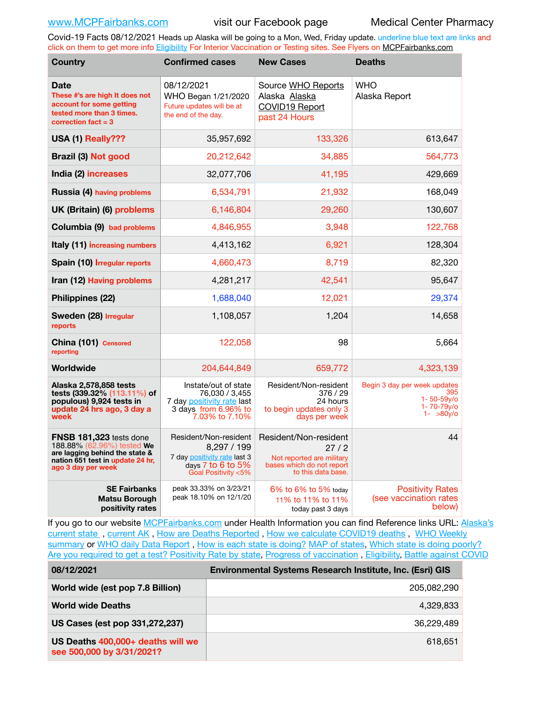Covid-19 Facts 08/12/2021 Heads up Alaska will be going to a Mon, Wed, Friday update. underline blue text are links and click on them to get more info [Eligibility](http://dhss.alaska.gov/dph/Epi/id/Pages/COVID-19/VaccineAvailability.aspx) For Interior Vaccination or Testing sites. See Flyers on [MCPFairbanks.com](http://www.MCPFairbanks.com)

| <b>Country</b>                                                                                                                                    | <b>Confirmed cases</b>                                                                                                  | <b>New Cases</b>                                                                                              | <b>Deaths</b>                                                                   |
|---------------------------------------------------------------------------------------------------------------------------------------------------|-------------------------------------------------------------------------------------------------------------------------|---------------------------------------------------------------------------------------------------------------|---------------------------------------------------------------------------------|
| <b>Date</b><br>These #'s are high It does not<br>account for some getting<br>tested more than 3 times.<br>correction fact $=$ 3                   | 08/12/2021<br>WHO Began 1/21/2020<br>Future updates will be at<br>the end of the day.                                   | Source WHO Reports<br>Alaska Alaska<br>COVID19 Report<br>past 24 Hours                                        | <b>WHO</b><br>Alaska Report                                                     |
| USA (1) Really???                                                                                                                                 | 35,957,692                                                                                                              | 133,326                                                                                                       | 613,647                                                                         |
| Brazil (3) Not good                                                                                                                               | 20,212,642                                                                                                              | 34,885                                                                                                        | 564,773                                                                         |
| India (2) increases                                                                                                                               | 32,077,706                                                                                                              | 41,195                                                                                                        | 429,669                                                                         |
| Russia (4) having problems                                                                                                                        | 6,534,791                                                                                                               | 21,932                                                                                                        | 168,049                                                                         |
| UK (Britain) (6) problems                                                                                                                         | 6,146,804                                                                                                               | 29,260                                                                                                        | 130,607                                                                         |
| Columbia (9) bad problems                                                                                                                         | 4,846,955                                                                                                               | 3,948                                                                                                         | 122,768                                                                         |
| Italy (11) increasing numbers                                                                                                                     | 4,413,162                                                                                                               | 6,921                                                                                                         | 128,304                                                                         |
| Spain (10) Irregular reports                                                                                                                      | 4,660,473                                                                                                               | 8,719                                                                                                         | 82,320                                                                          |
| Iran (12) Having problems                                                                                                                         | 4,281,217                                                                                                               | 42,541                                                                                                        | 95,647                                                                          |
| Philippines (22)                                                                                                                                  | 1,688,040                                                                                                               | 12,021                                                                                                        | 29,374                                                                          |
| Sweden (28) Irregular<br>reports                                                                                                                  | 1,108,057                                                                                                               | 1,204                                                                                                         | 14,658                                                                          |
| China (101) Censored<br>reporting                                                                                                                 | 122,058                                                                                                                 | 98                                                                                                            | 5,664                                                                           |
| Worldwide                                                                                                                                         | 204,644,849                                                                                                             | 659,772                                                                                                       | 4,323,139                                                                       |
| Alaska 2,578,858 tests<br>tests (339.32% (113.11%) of<br>populous) 9,924 tests in<br>update 24 hrs ago, 3 day a<br>week                           | Instate/out of state<br>76,030 / 3,455<br>7 day positivity rate last<br>3 days from 6.96% to<br>7.03% to 7.10%          | Resident/Non-resident<br>376/29<br>24 hours<br>to begin updates only 3<br>days per week                       | Begin 3 day per week updates<br>395<br>1-50-59y/o<br>1-70-79y/o<br>$1 - 80y$ /o |
| FNSB 181,323 tests done<br>188.88% (62.96%) tested We<br>are lagging behind the state &<br>nation 651 test in update 24 hr,<br>ago 3 day per week | Resident/Non-resident<br>8,297 / 199<br>7 day positivity rate last 3<br>days $7$ to $6$ to $5\%$<br>Goal Positivity <5% | Resident/Non-resident<br>27/2<br>Not reported are military<br>bases which do not report<br>to this data base. | 44                                                                              |
| <b>SE Fairbanks</b><br><b>Matsu Borough</b><br>positivity rates                                                                                   | peak 33.33% on 3/23/21<br>peak 18.10% on 12/1/20                                                                        | $6\%$ to $6\%$ to $5\%$ today<br>11% to 11% to 11%<br>today past 3 days                                       | <b>Positivity Rates</b><br>(see vaccination rates<br>below)                     |

If you go to our website [MCPFairbanks.com](http://www.MCPFairbanks.com) under Health Information you can find Reference links URL: Alaska's current state, current AK, [How are Deaths Reported](http://dhss.alaska.gov/dph/Epi/id/Pages/COVID-19/deathcounts.aspx), [How we calculate COVID19 deaths](https://coronavirus-response-alaska-dhss.hub.arcgis.com/search?collection=Document&groupIds=41ccb3344ebc4bd682c74073eba21f42), WHO Weekly [summary](http://www.who.int) or [WHO daily Data Report](https://covid19.who.int/table), [How is each state is doing?](https://www.msn.com/en-us/news/us/state-by-state-coronavirus-news/ar-BB13E1PX?fbclid=IwAR0_OBJH7lSyTN3ug_MsOeFnNgB1orTa9OBgilKJ7dhnwlVvHEsptuKkj1c) [MAP of states,](https://www.nationalgeographic.com/science/graphics/graphic-tracking-coronavirus-infections-us?cmpid=org=ngp::mc=crm-email::src=ngp::cmp=editorial::add=SpecialEdition_20210305&rid=B9A6DF5992658E8E35CE023113CFEA4C) [Which state is doing poorly?](https://bestlifeonline.com/covid-outbreak-your-state/?utm_source=nsltr&utm_medium=email&utm_content=covid-outbreak-your-state&utm_campaign=launch) [Are you required to get a test?](http://dhss.alaska.gov/dph/Epi/id/SiteAssets/Pages/HumanCoV/Whattodoafteryourtest.pdf) [Positivity Rate by state](https://coronavirus.jhu.edu/testing/individual-states/alaska), Progress of vaccination, [Eligibility,](http://dhss.alaska.gov/dph/Epi/id/Pages/COVID-19/VaccineAvailability.aspx) [Battle against COVID](https://www.nationalgeographic.com/science/graphics/graphic-tracking-coronavirus-infections-us?cmpid=org=ngp::mc=crm-email::src=ngp::cmp=editorial::add=SpecialEdition_20210219&rid=B9A6DF5992658E8E35CE023113CFEA4C)

| 08/12/2021                                                     | Environmental Systems Research Institute, Inc. (Esri) GIS |  |
|----------------------------------------------------------------|-----------------------------------------------------------|--|
| World wide (est pop 7.8 Billion)                               | 205,082,290                                               |  |
| <b>World wide Deaths</b>                                       | 4.329.833                                                 |  |
| US Cases (est pop 331,272,237)                                 | 36.229.489                                                |  |
| US Deaths 400,000+ deaths will we<br>see 500,000 by 3/31/2021? | 618.651                                                   |  |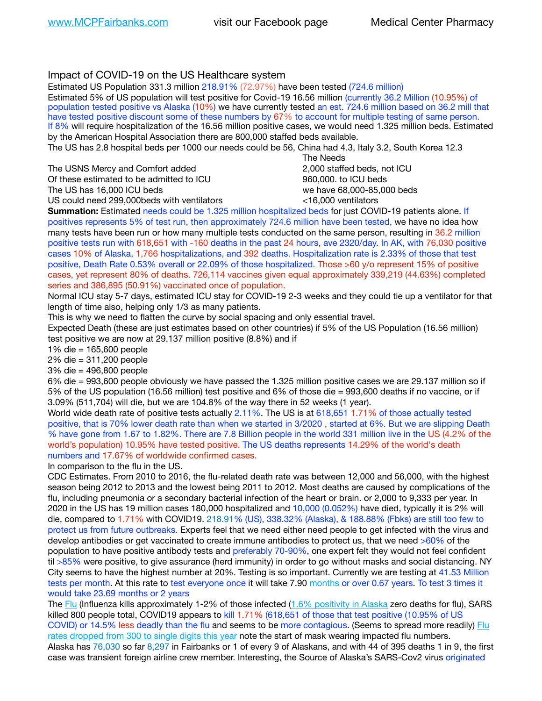### Impact of COVID-19 on the US Healthcare system

Estimated US Population 331.3 million 218.91% (72.97%) have been tested (724.6 million) Estimated 5% of US population will test positive for Covid-19 16.56 million (currently 36.2 Million (10.95%) of population tested positive vs Alaska (10%) we have currently tested an est. 724.6 million based on 36.2 mill that have tested positive discount some of these numbers by 67% to account for multiple testing of same person. If 8% will require hospitalization of the 16.56 million positive cases, we would need 1.325 million beds. Estimated by the American Hospital Association there are 800,000 staffed beds available. The US has 2.8 hospital beds per 1000 our needs could be 56, China had 4.3, Italy 3.2, South Korea 12.3 The Needs

The USNS Mercy and Comfort added 2,000 staffed beds, not ICU Of these estimated to be admitted to ICU 860,000. to ICU beds The US has 16,000 ICU beds we have 68,000-85,000 beds ve have 68,000-85,000 beds US could need 299,000 beds with ventilators  $\leq$ 16,000 ventilators

**Summation:** Estimated needs could be 1.325 million hospitalized beds for just COVID-19 patients alone. If positives represents 5% of test run, then approximately 724.6 million have been tested, we have no idea how many tests have been run or how many multiple tests conducted on the same person, resulting in 36.2 million positive tests run with 618,651 with -160 deaths in the past 24 hours, ave 2320/day. In AK, with 76,030 positive cases 10% of Alaska, 1,766 hospitalizations, and 392 deaths. Hospitalization rate is 2.33% of those that test positive, Death Rate 0.53% overall or 22.09% of those hospitalized. Those >60 y/o represent 15% of positive cases, yet represent 80% of deaths. 726,114 vaccines given equal approximately 339,219 (44.63%) completed series and 386,895 (50.91%) vaccinated once of population.

Normal ICU stay 5-7 days, estimated ICU stay for COVID-19 2-3 weeks and they could tie up a ventilator for that length of time also, helping only 1/3 as many patients.

This is why we need to flatten the curve by social spacing and only essential travel.

Expected Death (these are just estimates based on other countries) if 5% of the US Population (16.56 million) test positive we are now at 29.137 million positive (8.8%) and if

1% die = 165,600 people

2% die = 311,200 people

3% die = 496,800 people

6% die = 993,600 people obviously we have passed the 1.325 million positive cases we are 29.137 million so if 5% of the US population (16.56 million) test positive and 6% of those die = 993,600 deaths if no vaccine, or if 3.09% (511,704) will die, but we are 104.8% of the way there in 52 weeks (1 year).

World wide death rate of positive tests actually 2.11%. The US is at 618,651 1.71% of those actually tested positive, that is 70% lower death rate than when we started in 3/2020 , started at 6%. But we are slipping Death % have gone from 1.67 to 1.82%. There are 7.8 Billion people in the world 331 million live in the US (4.2% of the world's population) 10.95% have tested positive. The US deaths represents 14.29% of the world's death numbers and 17.67% of worldwide confirmed cases.

In comparison to the flu in the US.

CDC Estimates. From 2010 to 2016, the flu-related death rate was between 12,000 and 56,000, with the highest season being 2012 to 2013 and the lowest being 2011 to 2012. Most deaths are caused by complications of the flu, including pneumonia or a secondary bacterial infection of the heart or brain. or 2,000 to 9,333 per year. In 2020 in the US has 19 million cases 180,000 hospitalized and 10,000 (0.052%) have died, typically it is 2% will die, compared to 1.71% with COVID19. 218.91% (US), 338.32% (Alaska), & 188.88% (Fbks) are still too few to protect us from future outbreaks. Experts feel that we need either need people to get infected with the virus and develop antibodies or get vaccinated to create immune antibodies to protect us, that we need >60% of the population to have positive antibody tests and preferably 70-90%, one expert felt they would not feel confident til >85% were positive, to give assurance (herd immunity) in order to go without masks and social distancing. NY City seems to have the highest number at 20%. Testing is so important. Currently we are testing at 41.53 Million tests per month. At this rate to test everyone once it will take 7.90 months or over 0.67 years. To test 3 times it would take 23.69 months or 2 years

The [Flu](https://lnks.gd/l/eyJhbGciOiJIUzI1NiJ9.eyJidWxsZXRpbl9saW5rX2lkIjoxMDMsInVyaSI6ImJwMjpjbGljayIsImJ1bGxldGluX2lkIjoiMjAyMTAyMjYuMzYwNDA3NTEiLCJ1cmwiOiJodHRwczovL3d3dy5jZGMuZ292L2ZsdS93ZWVrbHkvb3ZlcnZpZXcuaHRtIn0.ePMA_hsZ-pTnhWSyg1gHvHWYTu2XceVOt0JejxvP1WE/s/500544915/br/98428119752-l) (Influenza kills approximately 1-2% of those infected ([1.6% positivity in Alaska](http://dhss.alaska.gov/dph/Epi/id/SiteAssets/Pages/influenza/trends/Snapshot.pdf) zero deaths for flu), SARS killed 800 people total, COVID19 appears to kill 1.71% (618,651 of those that test positive (10.95% of US COVID) or 14.5% less deadly than the flu and seems to be more contagious. (Seems to spread more readily) [Flu](https://lnks.gd/l/eyJhbGciOiJIUzI1NiJ9.eyJidWxsZXRpbl9saW5rX2lkIjoxMDEsInVyaSI6ImJwMjpjbGljayIsImJ1bGxldGluX2lkIjoiMjAyMTAyMjYuMzYwNDA3NTEiLCJ1cmwiOiJodHRwOi8vZGhzcy5hbGFza2EuZ292L2RwaC9FcGkvaWQvUGFnZXMvaW5mbHVlbnphL2ZsdWluZm8uYXNweCJ9.oOe3nt2fww6XpsNhb4FZfmtPfPa-irGaldpkURBJhSo/s/500544915/br/98428119752-l)  [rates dropped from 300 to single digits this year](https://lnks.gd/l/eyJhbGciOiJIUzI1NiJ9.eyJidWxsZXRpbl9saW5rX2lkIjoxMDEsInVyaSI6ImJwMjpjbGljayIsImJ1bGxldGluX2lkIjoiMjAyMTAyMjYuMzYwNDA3NTEiLCJ1cmwiOiJodHRwOi8vZGhzcy5hbGFza2EuZ292L2RwaC9FcGkvaWQvUGFnZXMvaW5mbHVlbnphL2ZsdWluZm8uYXNweCJ9.oOe3nt2fww6XpsNhb4FZfmtPfPa-irGaldpkURBJhSo/s/500544915/br/98428119752-l) note the start of mask wearing impacted flu numbers.

Alaska has 76,030 so far 8,297 in Fairbanks or 1 of every 9 of Alaskans, and with 44 of 395 deaths 1 in 9, the first case was transient foreign airline crew member. Interesting, the Source of Alaska's SARS-Cov2 virus originated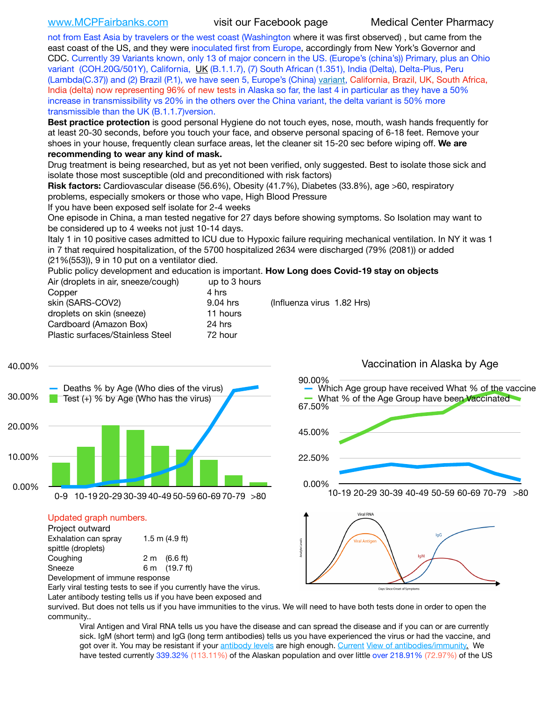[www.MCPFairbanks.com](http://www.MCPFairbanks.com) visit our Facebook page Medical Center Pharmacy

not from East Asia by travelers or the west coast (Washington where it was first observed) , but came from the east coast of the US, and they were inoculated first from Europe, accordingly from New York's Governor and CDC. Currently 39 Variants known, only 13 of major concern in the US. (Europe's (china's)) Primary, plus an Ohio variant (COH.20G/501Y), California, [UK](https://www.cdc.gov/coronavirus/2019-ncov/transmission/variant-cases.html) (B.1.1.7), (7) South African (1.351), India (Delta), Delta-Plus, Peru (Lambda(C.37)) and (2) Brazil (P.1), we have seen 5, Europe's (China) [variant](https://www.webmd.com/lung/news/20210318/cdc-who-create-threat-levels-for-covid-variants?ecd=wnl_cvd_031921&ctr=wnl-cvd-031921&mb=kYbf7DsHb7YGjh/1RUkcAW0T6iorImAU1TDZh18RYs0=_Support_titleLink_2), California, Brazil, UK, South Africa, India (delta) now representing 96% of new tests in Alaska so far, the last 4 in particular as they have a 50% increase in transmissibility vs 20% in the others over the China variant, the delta variant is 50% more transmissible than the UK (B.1.1.7)version.

**Best practice protection** is good personal Hygiene do not touch eyes, nose, mouth, wash hands frequently for at least 20-30 seconds, before you touch your face, and observe personal spacing of 6-18 feet. Remove your shoes in your house, frequently clean surface areas, let the cleaner sit 15-20 sec before wiping off. **We are recommending to wear any kind of mask.**

Drug treatment is being researched, but as yet not been verified, only suggested. Best to isolate those sick and isolate those most susceptible (old and preconditioned with risk factors)

**Risk factors:** Cardiovascular disease (56.6%), Obesity (41.7%), Diabetes (33.8%), age >60, respiratory problems, especially smokers or those who vape, High Blood Pressure

If you have been exposed self isolate for 2-4 weeks

One episode in China, a man tested negative for 27 days before showing symptoms. So Isolation may want to be considered up to 4 weeks not just 10-14 days.

Italy 1 in 10 positive cases admitted to ICU due to Hypoxic failure requiring mechanical ventilation. In NY it was 1 in 7 that required hospitalization, of the 5700 hospitalized 2634 were discharged (79% (2081)) or added (21%(553)), 9 in 10 put on a ventilator died.

Public policy development and education is important. **How Long does Covid-19 stay on objects**

| Air (droplets in air, sneeze/cough) | up to 3 hours |                            |
|-------------------------------------|---------------|----------------------------|
| Copper                              | 4 hrs         |                            |
| skin (SARS-COV2)                    | 9.04 hrs      | (Influenza virus 1.82 Hrs) |
| droplets on skin (sneeze)           | 11 hours      |                            |
| Cardboard (Amazon Box)              | 24 hrs        |                            |
| Plastic surfaces/Stainless Steel    | 72 hour       |                            |
|                                     |               |                            |



### Updated graph numbers.

| Project outward                |  |                        |  |  |
|--------------------------------|--|------------------------|--|--|
| Exhalation can spray           |  | $1.5$ m $(4.9$ ft)     |  |  |
| spittle (droplets)             |  |                        |  |  |
| Coughing                       |  | $2 \text{ m}$ (6.6 ft) |  |  |
| Sneeze                         |  | 6 m (19.7 ft)          |  |  |
| Development of immune response |  |                        |  |  |



Early viral testing tests to see if you currently have the virus.

Later antibody testing tells us if you have been exposed and

survived. But does not tells us if you have immunities to the virus. We will need to have both tests done in order to open the community..

Viral Antigen and Viral RNA tells us you have the disease and can spread the disease and if you can or are currently sick. IgM (short term) and IgG (long term antibodies) tells us you have experienced the virus or had the vaccine, and got over it. You may be resistant if your [antibody levels](https://www.cdc.gov/coronavirus/2019-ncov/lab/resources/antibody-tests.html) are high enough. [Current](https://l.facebook.com/l.php?u=https://www.itv.com/news/2020-10-26/covid-19-antibody-levels-reduce-over-time-study-finds?fbclid=IwAR3Dapzh1qIH1EIOdUQI2y8THf7jfA4KBCaJz8Qg-8xe1YsrR4nsAHDIXSY&h=AT30nut8pkqp0heVuz5W2rT2WFFm-2Ab52BsJxZZCNlGsX58IpPkuVEPULbIUV_M16MAukx1Kwb657DPXxsgDN1rpOQ4gqBtQsmVYiWpnHPJo2RQsU6CPMd14lgLnQnFWxfVi6zvmw&__tn__=-UK-R&c%5B0%5D=AT1GaRAfR_nGAyqcn7TI1-PpvqOqEKXHnz6TDWvRStMnOSH7boQDvTiwTOc6VId9UES6LKiOmm2m88wKCoolkJyOFvakt2Z1Mw8toYWGGoWW23r0MNVBl7cYJXB_UOvGklNHaNnaNr1_S7NhT3BSykNOBg) [View of antibodies/immunity](https://www.livescience.com/antibodies.html)[.](https://www.itv.com/news/2020-10-26/covid-19-antibody-levels-reduce-over-time-study-finds) We have tested currently 339.32% (113.11%) of the Alaskan population and over little over 218.91% (72.97%) of the US

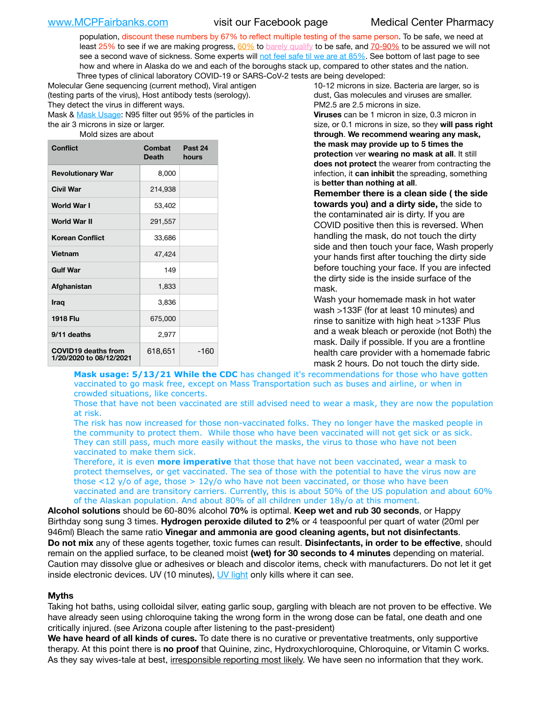population, discount these numbers by 67% to reflect multiple testing of the same person. To be safe, we need at least 25% to see if we are making progress,  $60\%$  to [barely qualify](https://www.nature.com/articles/d41586-020-02948-4) to be safe, and [70-90%](https://www.mayoclinic.org/herd-immunity-and-coronavirus/art-20486808) to be assured we will not see a second wave of sickness. Some experts will [not feel safe til we are at 85%](https://www.bannerhealth.com/healthcareblog/teach-me/what-is-herd-immunity). See bottom of last page to see how and where in Alaska do we and each of the boroughs stack up, compared to other states and the nation. Three types of clinical laboratory COVID-19 or SARS-CoV-2 tests are being developed:

Molecular Gene sequencing (current method), Viral antigen (testing parts of the virus), Host antibody tests (serology). They detect the virus in different ways.

Mask & [Mask Usage:](https://www.nationalgeographic.com/history/2020/03/how-cities-flattened-curve-1918-spanish-flu-pandemic-coronavirus/) N95 filter out 95% of the particles in the air 3 microns in size or larger.

Mold sizes are about

| <b>Conflict</b>                                       | <b>Combat</b><br>Death | Past 24<br>hours |
|-------------------------------------------------------|------------------------|------------------|
| <b>Revolutionary War</b>                              | 8,000                  |                  |
| Civil War                                             | 214,938                |                  |
| World War I                                           | 53,402                 |                  |
| World War II                                          | 291,557                |                  |
| <b>Korean Conflict</b>                                | 33,686                 |                  |
| <b>Vietnam</b>                                        | 47,424                 |                  |
| <b>Gulf War</b>                                       | 149                    |                  |
| Afghanistan                                           | 1,833                  |                  |
| Iraq                                                  | 3,836                  |                  |
| <b>1918 Flu</b>                                       | 675,000                |                  |
| 9/11 deaths                                           | 2,977                  |                  |
| <b>COVID19 deaths from</b><br>1/20/2020 to 08/12/2021 | 618,651                | $-160$           |

10-12 microns in size. Bacteria are larger, so is dust, Gas molecules and viruses are smaller. PM2.5 are 2.5 microns in size.

**Viruses** can be 1 micron in size, 0.3 micron in size, or 0.1 microns in size, so they **will pass right through**. **We recommend wearing any mask, the mask may provide up to 5 times the protection** ver **wearing no mask at all**. It still **does not protect** the wearer from contracting the infection, it **can inhibit** the spreading, something is **better than nothing at all**.

**Remember there is a clean side ( the side towards you) and a dirty side,** the side to the contaminated air is dirty. If you are COVID positive then this is reversed. When handling the mask, do not touch the dirty side and then touch your face, Wash properly your hands first after touching the dirty side before touching your face. If you are infected the dirty side is the inside surface of the mask.

Wash your homemade mask in hot water wash >133F (for at least 10 minutes) and rinse to sanitize with high heat >133F Plus and a weak bleach or peroxide (not Both) the mask. Daily if possible. If you are a frontline health care provider with a homemade fabric mask 2 hours. Do not touch the dirty side.

**Mask usage: 5/13/21 While the CDC** has changed it's recommendations for those who have gotten vaccinated to go mask free, except on Mass Transportation such as buses and airline, or when in crowded situations, like concerts.

Those that have not been vaccinated are still advised need to wear a mask, they are now the population at risk.

The risk has now increased for those non-vaccinated folks. They no longer have the masked people in the community to protect them. While those who have been vaccinated will not get sick or as sick. They can still pass, much more easily without the masks, the virus to those who have not been vaccinated to make them sick.

Therefore, it is even **more imperative** that those that have not been vaccinated, wear a mask to protect themselves, or get vaccinated. The sea of those with the potential to have the virus now are those <12 y/o of age, those >  $12y$ /o who have not been vaccinated, or those who have been vaccinated and are transitory carriers. Currently, this is about 50% of the US population and about 60% of the Alaskan population. And about 80% of all children under 18y/o at this moment.

**Alcohol solutions** should be 60-80% alcohol **70%** is optimal. **Keep wet and rub 30 seconds**, or Happy Birthday song sung 3 times. **Hydrogen peroxide diluted to 2%** or 4 teaspoonful per quart of water (20ml per 946ml) Bleach the same ratio **Vinegar and ammonia are good cleaning agents, but not disinfectants**. **Do not mix** any of these agents together, toxic fumes can result. **Disinfectants, in order to be effective**, should remain on the applied surface, to be cleaned moist **(wet) for 30 seconds to 4 minutes** depending on material. Caution may dissolve glue or adhesives or bleach and discolor items, check with manufacturers. Do not let it get inside electronic devices. UV (10 minutes), [UV light](http://www.docreviews.me/best-uv-boxes-2020/?fbclid=IwAR3bvFtXB48OoBBSvYvTEnKuHNPbipxM6jUo82QUSw9wckxjC7wwRZWabGw) only kills where it can see.

### **Myths**

Taking hot baths, using colloidal silver, eating garlic soup, gargling with bleach are not proven to be effective. We have already seen using chloroquine taking the wrong form in the wrong dose can be fatal, one death and one critically injured. (see Arizona couple after listening to the past-president)

**We have heard of all kinds of cures.** To date there is no curative or preventative treatments, only supportive therapy. At this point there is **no proof** that Quinine, zinc, Hydroxychloroquine, Chloroquine, or Vitamin C works. As they say wives-tale at best, irresponsible reporting most likely. We have seen no information that they work.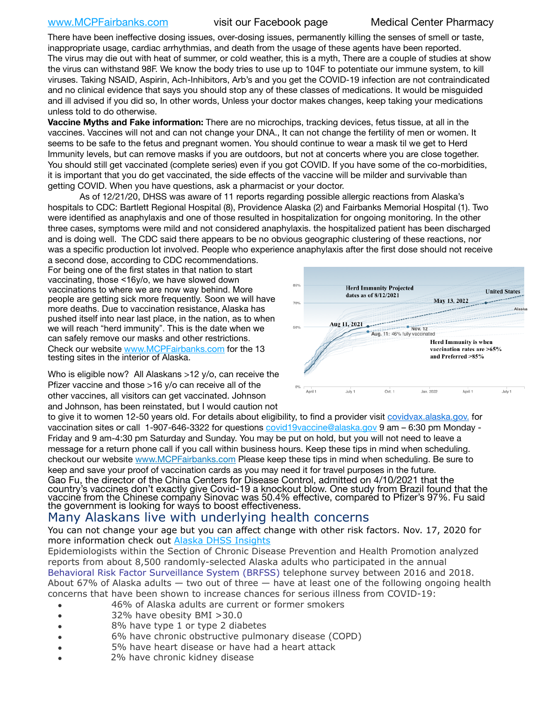### [www.MCPFairbanks.com](http://www.MCPFairbanks.com) visit our Facebook page Medical Center Pharmacy

There have been ineffective dosing issues, over-dosing issues, permanently killing the senses of smell or taste, inappropriate usage, cardiac arrhythmias, and death from the usage of these agents have been reported. The virus may die out with heat of summer, or cold weather, this is a myth, There are a couple of studies at show the virus can withstand 98F. We know the body tries to use up to 104F to potentiate our immune system, to kill viruses. Taking NSAID, Aspirin, Ach-Inhibitors, Arb's and you get the COVID-19 infection are not contraindicated and no clinical evidence that says you should stop any of these classes of medications. It would be misguided and ill advised if you did so, In other words, Unless your doctor makes changes, keep taking your medications unless told to do otherwise.

**Vaccine Myths and Fake information:** There are no microchips, tracking devices, fetus tissue, at all in the vaccines. Vaccines will not and can not change your DNA., It can not change the fertility of men or women. It seems to be safe to the fetus and pregnant women. You should continue to wear a mask til we get to Herd Immunity levels, but can remove masks if you are outdoors, but not at concerts where you are close together. You should still get vaccinated (complete series) even if you got COVID. If you have some of the co-morbidities, it is important that you do get vaccinated, the side effects of the vaccine will be milder and survivable than getting COVID. When you have questions, ask a pharmacist or your doctor.

As of 12/21/20, DHSS was aware of 11 reports regarding possible allergic reactions from Alaska's hospitals to CDC: Bartlett Regional Hospital (8), Providence Alaska (2) and Fairbanks Memorial Hospital (1). Two were identified as anaphylaxis and one of those resulted in hospitalization for ongoing monitoring. In the other three cases, symptoms were mild and not considered anaphylaxis. the hospitalized patient has been discharged and is doing well. The CDC said there appears to be no obvious geographic clustering of these reactions, nor was a specific production lot involved. People who experience anaphylaxis after the first dose should not receive

a second dose, according to CDC recommendations. For being one of the first states in that nation to start vaccinating, those <16y/o, we have slowed down vaccinations to where we are now way behind. More people are getting sick more frequently. Soon we will have more deaths. Due to vaccination resistance, Alaska has pushed itself into near last place, in the nation, as to when we will reach "herd immunity". This is the date when we can safely remove our masks and other restrictions. Check our website [www.MCPFairbanks.com](http://www.MCPFairbanks.com) for the 13 testing sites in the interior of Alaska.

Who is eligible now? All Alaskans >12 y/o, can receive the Pfizer vaccine and those >16 y/o can receive all of the other vaccines, all visitors can get vaccinated. Johnson and Johnson, has been reinstated, but I would caution not



to give it to women 12-50 years old. For details about eligibility, to find a provider visit [covidvax.alaska.gov.](https://lnks.gd/l/eyJhbGciOiJIUzI1NiJ9.eyJidWxsZXRpbl9saW5rX2lkIjoxMDYsInVyaSI6ImJwMjpjbGljayIsImJ1bGxldGluX2lkIjoiMjAyMTAxMjguMzQwODU3NjEiLCJ1cmwiOiJodHRwOi8vZGhzcy5hbGFza2EuZ292L2RwaC9FcGkvaWQvUGFnZXMvQ09WSUQtMTkvdmFjY2luZS5hc3B4In0.-Xwhl42jAWOMS7ewfS85uxwrwjohCso3Sb81DuDKtxU/s/500544915/br/93796640171-l) for vaccination sites or call 1-907-646-3322 for questions [covid19vaccine@alaska.gov](mailto:covid19vaccine@alaska.gov?subject=COVID19%20Vaccine%20questions) 9 am – 6:30 pm Monday - Friday and 9 am-4:30 pm Saturday and Sunday. You may be put on hold, but you will not need to leave a message for a return phone call if you call within business hours. Keep these tips in mind when scheduling. checkout our website [www.MCPFairbanks.com](http://www.MCPFairbanks.com) Please keep these tips in mind when scheduling. Be sure to keep and save your proof of vaccination cards as you may need it for travel purposes in the future. Gao Fu, the director of the China Centers for Disease Control, admitted on 4/10/2021 that the country's vaccines don't exactly give Covid-19 a knockout blow. One study from Brazil found that the vaccine from the Chinese company Sinovac was 50.4% effective, compared to Pfizer's 97%. Fu said the government is looking for ways to boost effectiveness.

# Many Alaskans live with underlying health concerns

You can not change your age but you can affect change with other risk factors. Nov. 17, 2020 for more information check out **[Alaska DHSS Insights](http://dhss.alaska.gov/dph/Epi/id/Pages/COVID-19/blog/20201117.aspx)** 

Epidemiologists within the Section of Chronic Disease Prevention and Health Promotion analyzed reports from about 8,500 randomly-selected Alaska adults who participated in the annual [Behavioral Risk Factor Surveillance System \(BRFSS\)](http://dhss.alaska.gov/dph/Chronic/Pages/brfss/default.aspx) telephone survey between 2016 and 2018. About 67% of Alaska adults — two out of three — have at least one of the following ongoing health concerns that have been shown to increase chances for serious illness from COVID-19:

- 46% of Alaska adults are current or former smokers
- 32% have obesity BMI >30.0
- 8% have type 1 or type 2 diabetes
- 6% have chronic obstructive pulmonary disease (COPD)
- 5% have heart disease or have had a heart attack
- 2% have chronic kidney disease